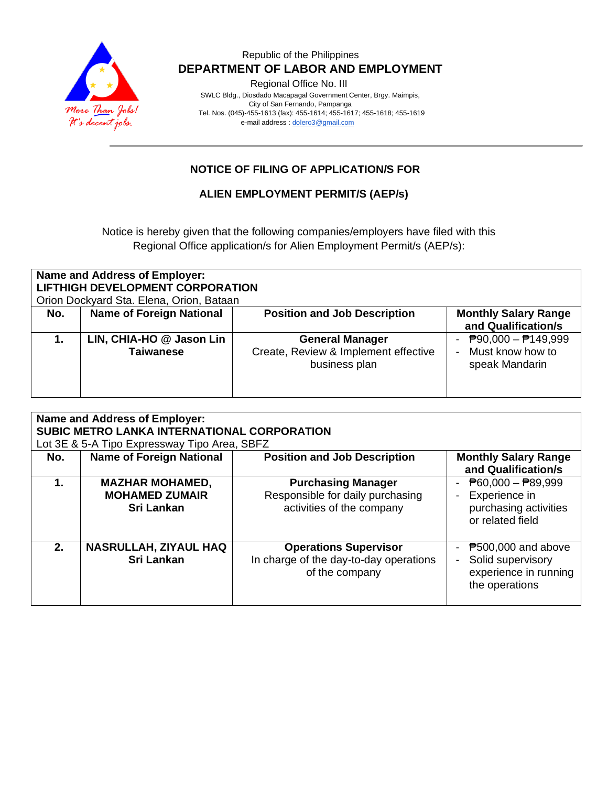

#### Republic of the Philippines  **DEPARTMENT OF LABOR AND EMPLOYMENT**

Regional Office No. III

 SWLC Bldg., Diosdado Macapagal Government Center, Brgy. Maimpis, City of San Fernando, Pampanga Tel. Nos. (045)-455-1613 (fax): 455-1614; 455-1617; 455-1618; 455-1619 e-mail address [: dolero3@gmail.com](mailto:dolero3@gmail.com)

## **NOTICE OF FILING OF APPLICATION/S FOR**

#### **ALIEN EMPLOYMENT PERMIT/S (AEP/s)**

Notice is hereby given that the following companies/employers have filed with this Regional Office application/s for Alien Employment Permit/s (AEP/s):

| <b>Name and Address of Employer:</b><br><b>LIFTHIGH DEVELOPMENT CORPORATION</b><br>Orion Dockyard Sta. Elena, Orion, Bataan |                                              |                                                                                 |                                                                                  |  |  |  |
|-----------------------------------------------------------------------------------------------------------------------------|----------------------------------------------|---------------------------------------------------------------------------------|----------------------------------------------------------------------------------|--|--|--|
| No.                                                                                                                         | <b>Name of Foreign National</b>              | <b>Position and Job Description</b>                                             | <b>Monthly Salary Range</b><br>and Qualification/s                               |  |  |  |
|                                                                                                                             | LIN, CHIA-HO @ Jason Lin<br><b>Taiwanese</b> | <b>General Manager</b><br>Create, Review & Implement effective<br>business plan | $\overline{P}90,000 - \overline{P}149,999$<br>Must know how to<br>speak Mandarin |  |  |  |

| <b>Name and Address of Employer:</b><br>SUBIC METRO LANKA INTERNATIONAL CORPORATION<br>Lot 3E & 5-A Tipo Expressway Tipo Area, SBFZ |                                                                      |                                                                                            |                                                                                                         |  |  |  |
|-------------------------------------------------------------------------------------------------------------------------------------|----------------------------------------------------------------------|--------------------------------------------------------------------------------------------|---------------------------------------------------------------------------------------------------------|--|--|--|
| No.                                                                                                                                 | <b>Name of Foreign National</b>                                      | <b>Position and Job Description</b>                                                        | <b>Monthly Salary Range</b><br>and Qualification/s                                                      |  |  |  |
| 1.                                                                                                                                  | <b>MAZHAR MOHAMED,</b><br><b>MOHAMED ZUMAIR</b><br><b>Sri Lankan</b> | <b>Purchasing Manager</b><br>Responsible for daily purchasing<br>activities of the company | $\overline{P}60,000 - \overline{P}89,999$<br>Experience in<br>purchasing activities<br>or related field |  |  |  |
| 2 <sub>1</sub>                                                                                                                      | <b>NASRULLAH, ZIYAUL HAQ</b><br><b>Sri Lankan</b>                    | <b>Operations Supervisor</b><br>In charge of the day-to-day operations<br>of the company   | $P$ 500,000 and above<br>Solid supervisory<br>experience in running<br>the operations                   |  |  |  |